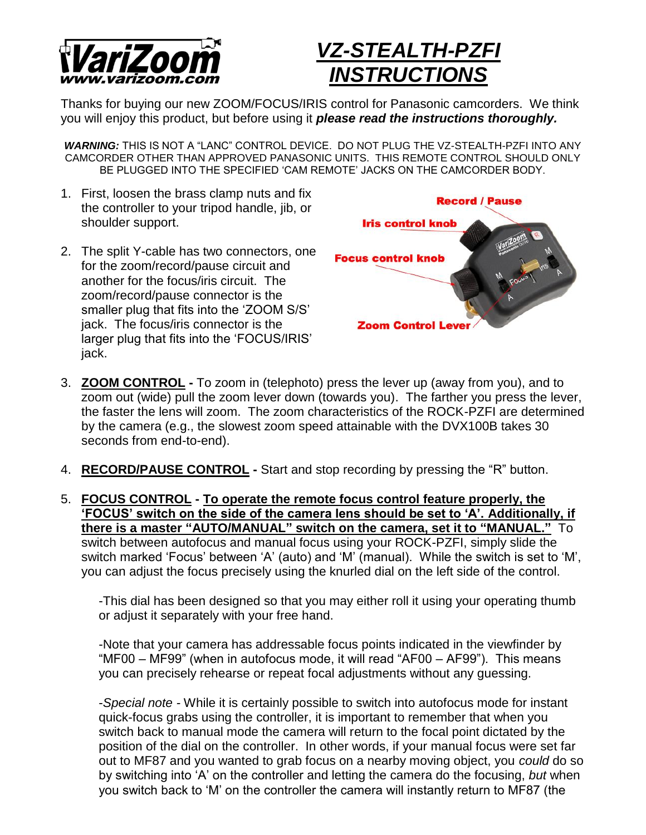

## *VZ-STEALTH-PZFI INSTRUCTIONS*

Thanks for buying our new ZOOM/FOCUS/IRIS control for Panasonic camcorders. We think you will enjoy this product, but before using it *please read the instructions thoroughly.*

*WARNING:* THIS IS NOT A "LANC" CONTROL DEVICE. DO NOT PLUG THE VZ-STEALTH-PZFI INTO ANY CAMCORDER OTHER THAN APPROVED PANASONIC UNITS. THIS REMOTE CONTROL SHOULD ONLY BE PLUGGED INTO THE SPECIFIED 'CAM REMOTE' JACKS ON THE CAMCORDER BODY.

- 1. First, loosen the brass clamp nuts and fix the controller to your tripod handle, jib, or shoulder support.
- 2. The split Y-cable has two connectors, one for the zoom/record/pause circuit and another for the focus/iris circuit. The zoom/record/pause connector is the smaller plug that fits into the 'ZOOM S/S' jack. The focus/iris connector is the larger plug that fits into the 'FOCUS/IRIS' jack.



- 3. **ZOOM CONTROL -** To zoom in (telephoto) press the lever up (away from you), and to zoom out (wide) pull the zoom lever down (towards you). The farther you press the lever, the faster the lens will zoom. The zoom characteristics of the ROCK-PZFI are determined by the camera (e.g., the slowest zoom speed attainable with the DVX100B takes 30 seconds from end-to-end).
- 4. **RECORD/PAUSE CONTROL -** Start and stop recording by pressing the "R" button.
- 5. **FOCUS CONTROL - To operate the remote focus control feature properly, the 'FOCUS' switch on the side of the camera lens should be set to 'A'. Additionally, if there is a master "AUTO/MANUAL" switch on the camera, set it to "MANUAL."** To switch between autofocus and manual focus using your ROCK-PZFI, simply slide the switch marked 'Focus' between 'A' (auto) and 'M' (manual). While the switch is set to 'M', you can adjust the focus precisely using the knurled dial on the left side of the control.

-This dial has been designed so that you may either roll it using your operating thumb or adjust it separately with your free hand.

-Note that your camera has addressable focus points indicated in the viewfinder by "MF00 – MF99" (when in autofocus mode, it will read "AF00 – AF99"). This means you can precisely rehearse or repeat focal adjustments without any guessing.

-*Special note -* While it is certainly possible to switch into autofocus mode for instant quick-focus grabs using the controller, it is important to remember that when you switch back to manual mode the camera will return to the focal point dictated by the position of the dial on the controller. In other words, if your manual focus were set far out to MF87 and you wanted to grab focus on a nearby moving object, you *could* do so by switching into 'A' on the controller and letting the camera do the focusing, *but* when you switch back to 'M' on the controller the camera will instantly return to MF87 (the